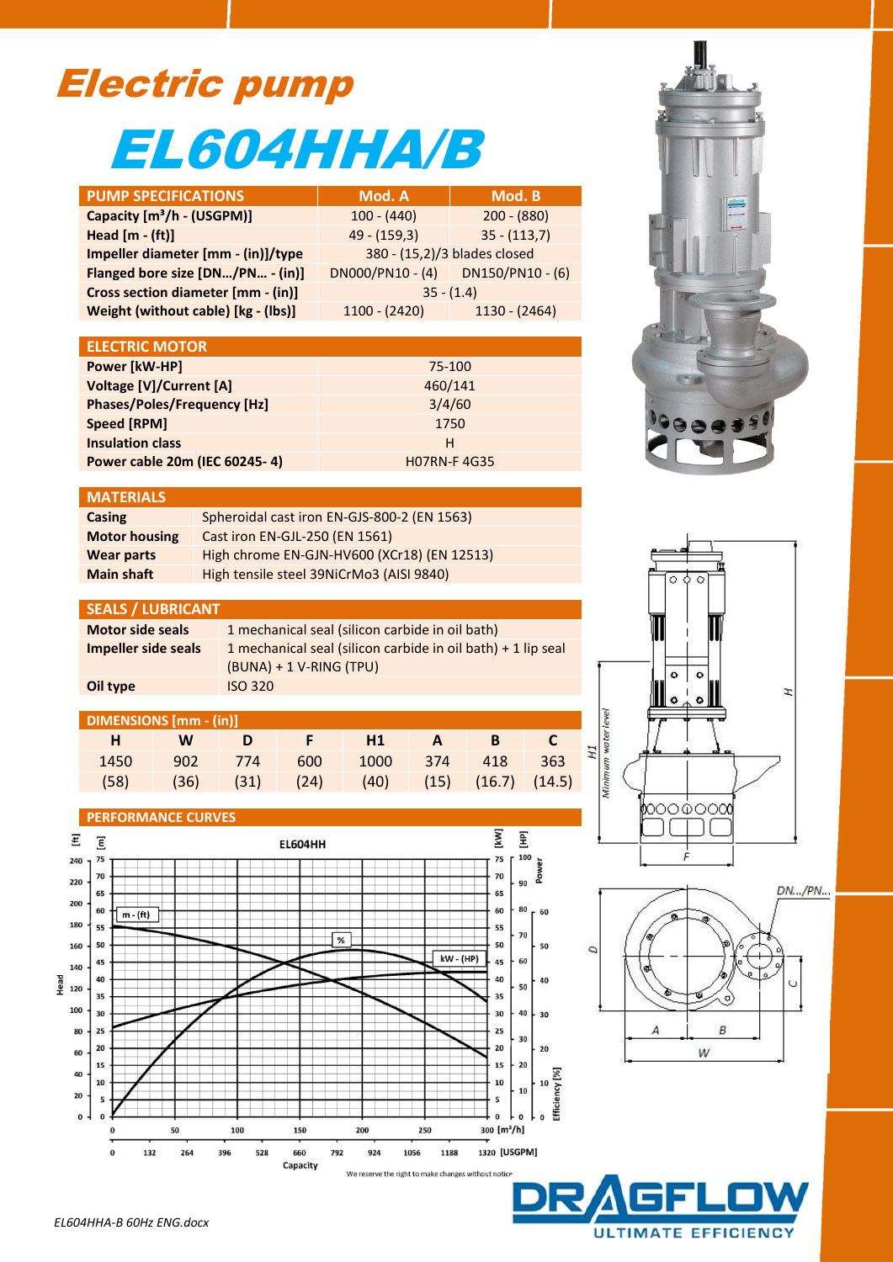## Electric pump EL604HHA/B

| <b>PUMP SPECIFICATIONS</b>             | Mod. A                       | Mod. B           |  |  |
|----------------------------------------|------------------------------|------------------|--|--|
| Capacity [m <sup>3</sup> /h - (USGPM)] | $100 - (440)$                | $200 - (880)$    |  |  |
| Head $[m - (ft)]$                      | $49 - (159,3)$               | $35 - (113,7)$   |  |  |
| Impeller diameter [mm - (in)]/type     | 380 - (15,2)/3 blades closed |                  |  |  |
| Flanged bore size [DN/PN - (in)]       | $DN000/PN10 - (4)$           | DN150/PN10 - (6) |  |  |
| Cross section diameter [mm - (in)]     | $35 - (1.4)$                 |                  |  |  |
| Weight (without cable) [kg - (lbs)]    | $1100 - (2420)$              | $1130 - (2464)$  |  |  |

| <b>ELECTRIC MOTOR</b>              |                    |  |
|------------------------------------|--------------------|--|
| Power [kW-HP]                      | 75-100             |  |
| Voltage [V]/Current [A]            | 460/141            |  |
| <b>Phases/Poles/Frequency [Hz]</b> | 3/4/60             |  |
| Speed [RPM]                        | 1750               |  |
| <b>Insulation class</b>            | н                  |  |
| Power cable 20m (IEC 60245-4)      | <b>HO7RN-F4G35</b> |  |

## **MATERIALS**

| Casing               | Spheroidal cast iron EN-GJS-800-2 (EN 1563) |
|----------------------|---------------------------------------------|
| <b>Motor housing</b> | Cast iron EN-GJL-250 (EN 1561)              |
| <b>Wear parts</b>    | High chrome EN-GJN-HV600 (XCr18) (EN 12513) |
| <b>Main shaft</b>    | High tensile steel 39NiCrMo3 (AISI 9840)    |

## **SEALS / LUBRICANT**

| <b>Motor side seals</b> | 1 mechanical seal (silicon carbide in oil bath)                |
|-------------------------|----------------------------------------------------------------|
| Impeller side seals     | 1 mechanical seal (silicon carbide in oil bath) $+$ 1 lip seal |
|                         | $(BUNA) + 1 V-RING (TPU)$                                      |
| Oil type                | <b>ISO 320</b>                                                 |

| <b>Contract Contract Contract</b> | W | ∖ D | $\sqrt{2}$ F $\sqrt{2}$ H1                           |  | $A$ B |  |
|-----------------------------------|---|-----|------------------------------------------------------|--|-------|--|
| 1450                              |   |     | 902 774 600 1000 374 418 363                         |  |       |  |
| (58)                              |   |     | $(36)$ $(31)$ $(24)$ $(40)$ $(15)$ $(16.7)$ $(14.5)$ |  |       |  |

## **PERFORMANCE CURVES**

**DIMENSIONS [mm - (in)]**